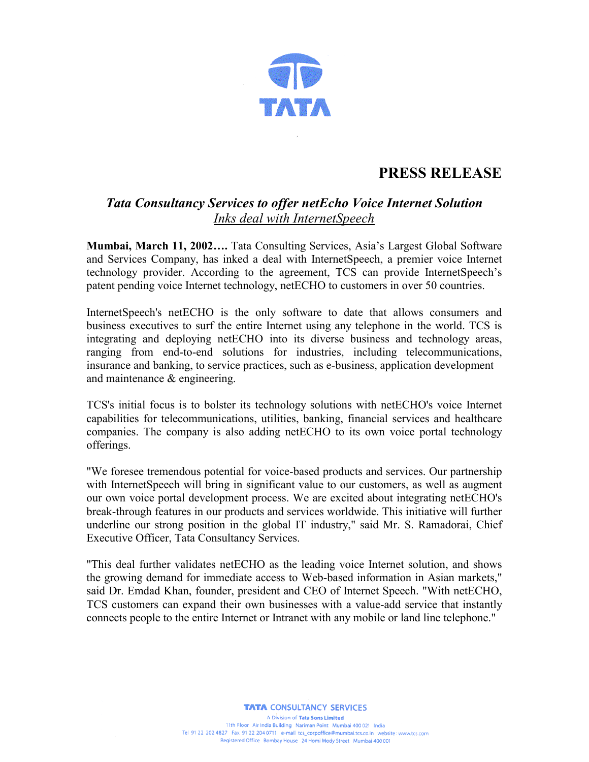

# **PRESS RELEASE**

## *Tata Consultancy Services to offer netEcho Voice Internet Solution Inks deal with InternetSpeech*

**Mumbai, March 11, 2002….** Tata Consulting Services, Asia's Largest Global Software and Services Company, has inked a deal with InternetSpeech, a premier voice Internet technology provider. According to the agreement, TCS can provide InternetSpeech's patent pending voice Internet technology, netECHO to customers in over 50 countries.

InternetSpeech's netECHO is the only software to date that allows consumers and business executives to surf the entire Internet using any telephone in the world. TCS is integrating and deploying netECHO into its diverse business and technology areas, ranging from end-to-end solutions for industries, including telecommunications, insurance and banking, to service practices, such as e-business, application development and maintenance & engineering.

TCS's initial focus is to bolster its technology solutions with netECHO's voice Internet capabilities for telecommunications, utilities, banking, financial services and healthcare companies. The company is also adding netECHO to its own voice portal technology offerings.

"We foresee tremendous potential for voice-based products and services. Our partnership with InternetSpeech will bring in significant value to our customers, as well as augment our own voice portal development process. We are excited about integrating netECHO's break-through features in our products and services worldwide. This initiative will further underline our strong position in the global IT industry," said Mr. S. Ramadorai, Chief Executive Officer, Tata Consultancy Services.

"This deal further validates netECHO as the leading voice Internet solution, and shows the growing demand for immediate access to Web-based information in Asian markets," said Dr. Emdad Khan, founder, president and CEO of Internet Speech. "With netECHO, TCS customers can expand their own businesses with a value-add service that instantly connects people to the entire Internet or Intranet with any mobile or land line telephone."

**TATA CONSULTANCY SERVICES**